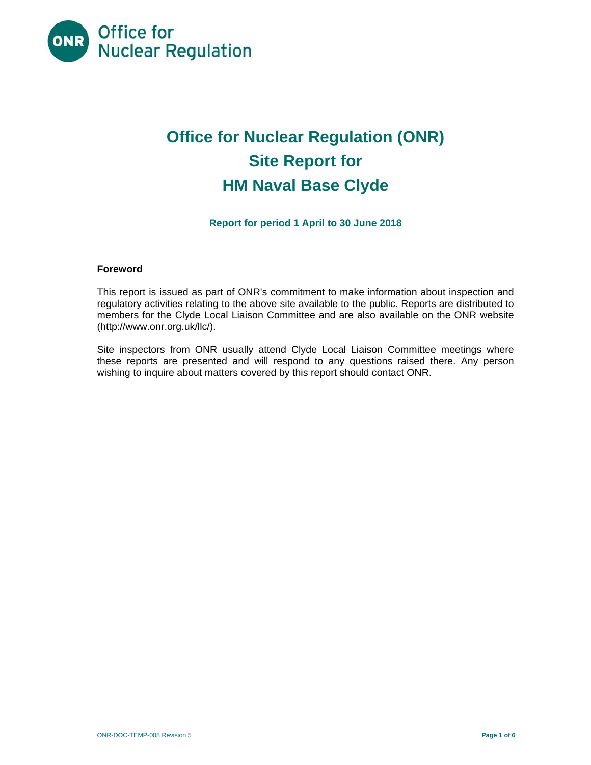

# **Office for Nuclear Regulation (ONR) Site Report for HM Naval Base Clyde**

**Report for period 1 April to 30 June 2018** 

## **Foreword**

This report is issued as part of ONR's commitment to make information about inspection and regulatory activities relating to the above site available to the public. Reports are distributed to members for the Clyde Local Liaison Committee and are also available on the ONR website (http://www.onr.org.uk/llc/).

Site inspectors from ONR usually attend Clyde Local Liaison Committee meetings where these reports are presented and will respond to any questions raised there. Any person wishing to inquire about matters covered by this report should contact ONR.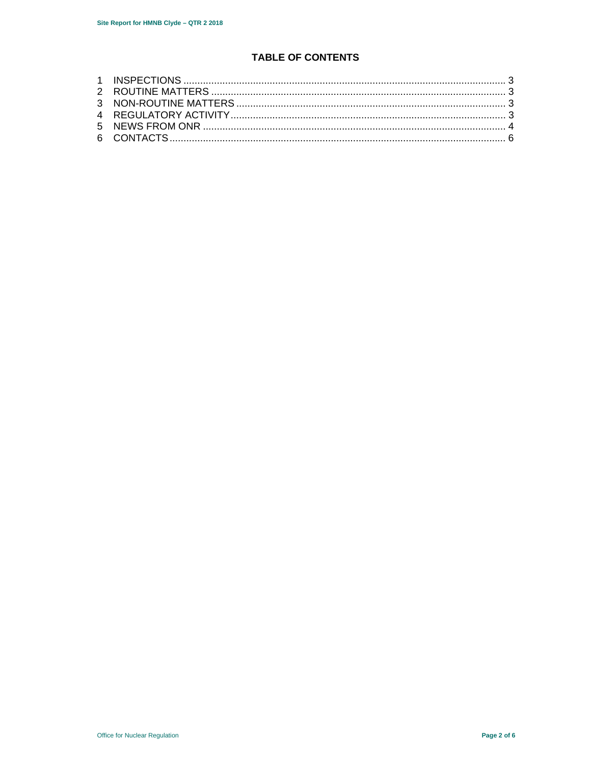# **TABLE OF CONTENTS**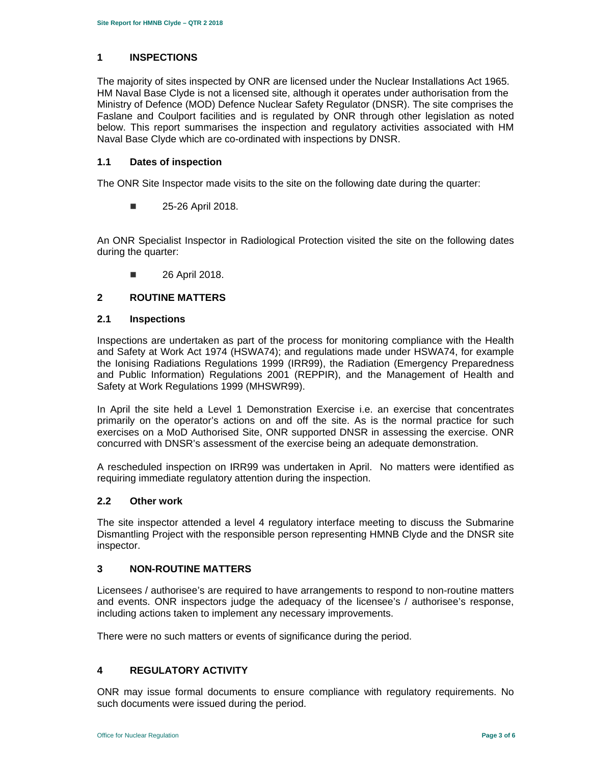## **1 INSPECTIONS**

The majority of sites inspected by ONR are licensed under the Nuclear Installations Act 1965. HM Naval Base Clyde is not a licensed site, although it operates under authorisation from the Ministry of Defence (MOD) Defence Nuclear Safety Regulator (DNSR). The site comprises the Faslane and Coulport facilities and is regulated by ONR through other legislation as noted below. This report summarises the inspection and regulatory activities associated with HM Naval Base Clyde which are co-ordinated with inspections by DNSR.

## **1.1 Dates of inspection**

The ONR Site Inspector made visits to the site on the following date during the quarter:

**25-26 April 2018.** 

An ONR Specialist Inspector in Radiological Protection visited the site on the following dates during the quarter:

**26 April 2018.** 

# **2 ROUTINE MATTERS**

## **2.1 Inspections**

Inspections are undertaken as part of the process for monitoring compliance with the Health and Safety at Work Act 1974 (HSWA74); and regulations made under HSWA74, for example the Ionising Radiations Regulations 1999 (IRR99), the Radiation (Emergency Preparedness and Public Information) Regulations 2001 (REPPIR), and the Management of Health and Safety at Work Regulations 1999 (MHSWR99).

In April the site held a Level 1 Demonstration Exercise i.e. an exercise that concentrates primarily on the operator's actions on and off the site. As is the normal practice for such exercises on a MoD Authorised Site, ONR supported DNSR in assessing the exercise. ONR concurred with DNSR's assessment of the exercise being an adequate demonstration.

A rescheduled inspection on IRR99 was undertaken in April. No matters were identified as requiring immediate regulatory attention during the inspection.

## **2.2 Other work**

The site inspector attended a level 4 regulatory interface meeting to discuss the Submarine Dismantling Project with the responsible person representing HMNB Clyde and the DNSR site inspector.

## **3 NON-ROUTINE MATTERS**

Licensees / authorisee's are required to have arrangements to respond to non-routine matters and events. ONR inspectors judge the adequacy of the licensee's / authorisee's response, including actions taken to implement any necessary improvements.

There were no such matters or events of significance during the period.

# **4 REGULATORY ACTIVITY**

ONR may issue formal documents to ensure compliance with regulatory requirements. No such documents were issued during the period.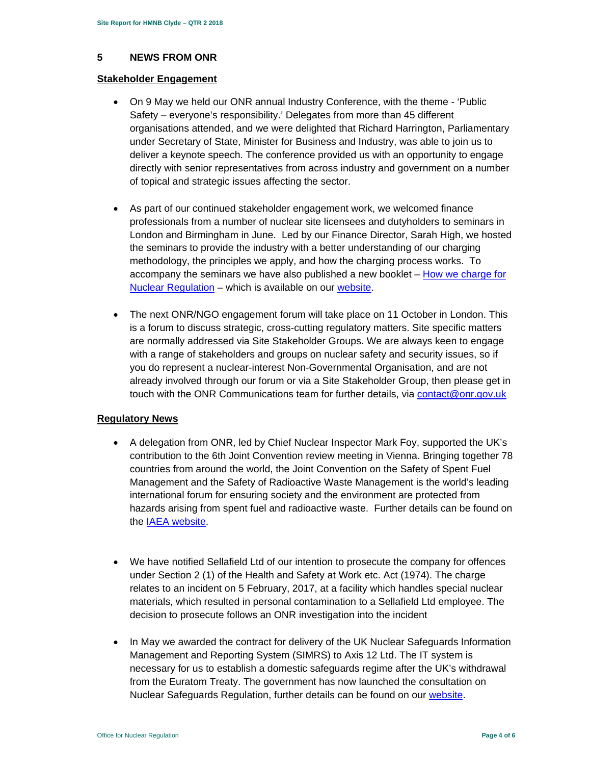## **5 NEWS FROM ONR**

## **Stakeholder Engagement**

- On 9 May we held our ONR annual Industry Conference, with the theme 'Public Safety – everyone's responsibility.' Delegates from more than 45 different organisations attended, and we were delighted that Richard Harrington, Parliamentary under Secretary of State, Minister for Business and Industry, was able to join us to deliver a keynote speech. The conference provided us with an opportunity to engage directly with senior representatives from across industry and government on a number of topical and strategic issues affecting the sector.
- As part of our continued stakeholder engagement work, we welcomed finance professionals from a number of nuclear site licensees and dutyholders to seminars in London and Birmingham in June. Led by our Finance Director, Sarah High, we hosted the seminars to provide the industry with a better understanding of our charging methodology, the principles we apply, and how the charging process works. To accompany the seminars we have also published a new booklet  $-$  How we charge for Nuclear Regulation – which is available on our website.
- The next ONR/NGO engagement forum will take place on 11 October in London. This is a forum to discuss strategic, cross-cutting regulatory matters. Site specific matters are normally addressed via Site Stakeholder Groups. We are always keen to engage with a range of stakeholders and groups on nuclear safety and security issues, so if you do represent a nuclear-interest Non-Governmental Organisation, and are not already involved through our forum or via a Site Stakeholder Group, then please get in touch with the ONR Communications team for further details, via contact@onr.gov.uk

## **Regulatory News**

- A delegation from ONR, led by Chief Nuclear Inspector Mark Foy, supported the UK's contribution to the 6th Joint Convention review meeting in Vienna. Bringing together 78 countries from around the world, the Joint Convention on the Safety of Spent Fuel Management and the Safety of Radioactive Waste Management is the world's leading international forum for ensuring society and the environment are protected from hazards arising from spent fuel and radioactive waste. Further details can be found on the IAEA website.
- We have notified Sellafield Ltd of our intention to prosecute the company for offences under Section 2 (1) of the Health and Safety at Work etc. Act (1974). The charge relates to an incident on 5 February, 2017, at a facility which handles special nuclear materials, which resulted in personal contamination to a Sellafield Ltd employee. The decision to prosecute follows an ONR investigation into the incident
- In May we awarded the contract for delivery of the UK Nuclear Safeguards Information Management and Reporting System (SIMRS) to Axis 12 Ltd. The IT system is necessary for us to establish a domestic safeguards regime after the UK's withdrawal from the Euratom Treaty. The government has now launched the consultation on Nuclear Safeguards Regulation, further details can be found on our website.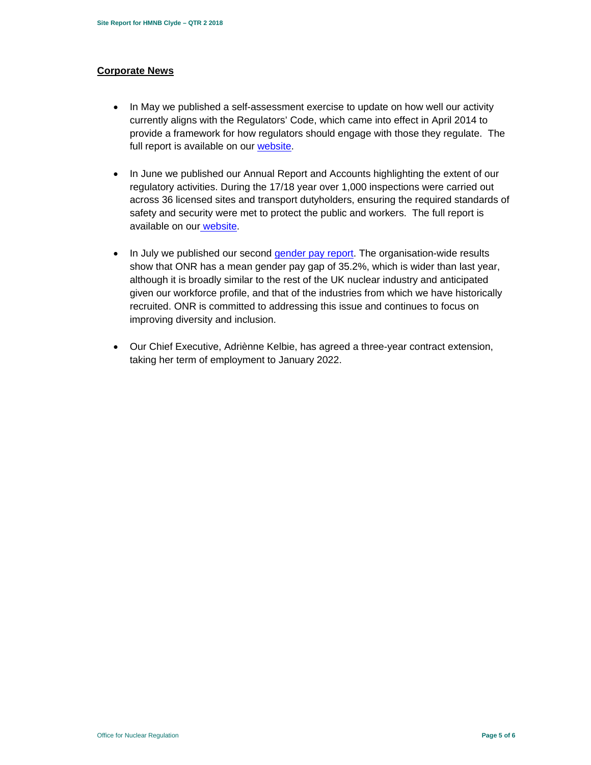## **Corporate News**

- In May we published a self-assessment exercise to update on how well our activity currently aligns with the Regulators' Code, which came into effect in April 2014 to provide a framework for how regulators should engage with those they regulate. The full report is available on our website.
- In June we published our Annual Report and Accounts highlighting the extent of our regulatory activities. During the 17/18 year over 1,000 inspections were carried out across 36 licensed sites and transport dutyholders, ensuring the required standards of safety and security were met to protect the public and workers. The full report is available on our website.
- In July we published our second gender pay report. The organisation-wide results show that ONR has a mean gender pay gap of 35.2%, which is wider than last year, although it is broadly similar to the rest of the UK nuclear industry and anticipated given our workforce profile, and that of the industries from which we have historically recruited. ONR is committed to addressing this issue and continues to focus on improving diversity and inclusion.
- Our Chief Executive, Adriènne Kelbie, has agreed a three-year contract extension, taking her term of employment to January 2022.